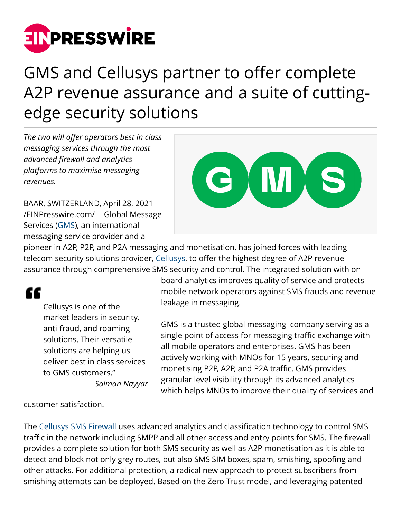

## GMS and Cellusys partner to offer complete A2P revenue assurance and a suite of cuttingedge security solutions

*The two will offer operators best in class messaging services through the most advanced firewall and analytics platforms to maximise messaging revenues.* 

BAAR, SWITZERLAND, April 28, 2021 [/EINPresswire.com/](http://www.einpresswire.com) -- Global Message Services [\(GMS](https://www.gms-worldwide.com/)), an international messaging service provider and a



pioneer in A2P, P2P, and P2A messaging and monetisation, has joined forces with leading telecom security solutions provider, [Cellusys](http://www.cellusys.com), to offer the highest degree of A2P revenue assurance through comprehensive SMS security and control. The integrated solution with on-

## "

Cellusys is one of the market leaders in security, anti-fraud, and roaming solutions. Their versatile solutions are helping us deliver best in class services to GMS customers." *Salman Nayyar*

board analytics improves quality of service and protects mobile network operators against SMS frauds and revenue leakage in messaging.

GMS is a trusted global messaging company serving as a single point of access for messaging traffic exchange with all mobile operators and enterprises. GMS has been actively working with MNOs for 15 years, securing and monetising P2P, A2P, and P2A traffic. GMS provides granular level visibility through its advanced analytics which helps MNOs to improve their quality of services and

customer satisfaction.

The [Cellusys SMS Firewall](https://www.cellusys.com/products/cellusys-protect/sms-firewall/) uses advanced analytics and classification technology to control SMS traffic in the network including SMPP and all other access and entry points for SMS. The firewall provides a complete solution for both SMS security as well as A2P monetisation as it is able to detect and block not only grey routes, but also SMS SIM boxes, spam, smishing, spoofing and other attacks. For additional protection, a radical new approach to protect subscribers from smishing attempts can be deployed. Based on the Zero Trust model, and leveraging patented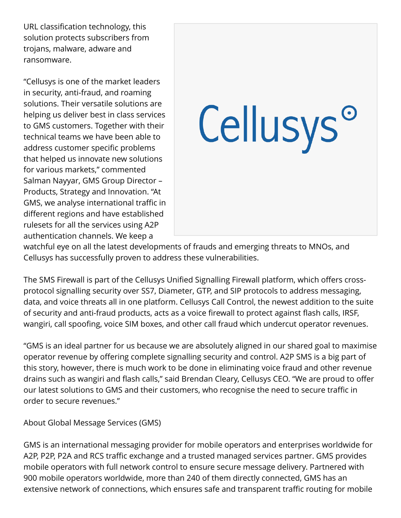URL classification technology, this solution protects subscribers from trojans, malware, adware and ransomware.

"Cellusys is one of the market leaders in security, anti-fraud, and roaming solutions. Their versatile solutions are helping us deliver best in class services to GMS customers. Together with their technical teams we have been able to address customer specific problems that helped us innovate new solutions for various markets," commented Salman Nayyar, GMS Group Director – Products, Strategy and Innovation. "At GMS, we analyse international traffic in different regions and have established rulesets for all the services using A2P authentication channels. We keep a

## Cellusys<sup>o</sup>

watchful eye on all the latest developments of frauds and emerging threats to MNOs, and Cellusys has successfully proven to address these vulnerabilities.

The SMS Firewall is part of the Cellusys Unified Signalling Firewall platform, which offers crossprotocol signalling security over SS7, Diameter, GTP, and SIP protocols to address messaging, data, and voice threats all in one platform. Cellusys Call Control, the newest addition to the suite of security and anti-fraud products, acts as a voice firewall to protect against flash calls, IRSF, wangiri, call spoofing, voice SIM boxes, and other call fraud which undercut operator revenues.

"GMS is an ideal partner for us because we are absolutely aligned in our shared goal to maximise operator revenue by offering complete signalling security and control. A2P SMS is a big part of this story, however, there is much work to be done in eliminating voice fraud and other revenue drains such as wangiri and flash calls," said Brendan Cleary, Cellusys CEO. "We are proud to offer our latest solutions to GMS and their customers, who recognise the need to secure traffic in order to secure revenues."

About Global Message Services (GMS)

GMS is an international messaging provider for mobile operators and enterprises worldwide for A2P, P2P, P2A and RCS traffic exchange and a trusted managed services partner. GMS provides mobile operators with full network control to ensure secure message delivery. Partnered with 900 mobile operators worldwide, more than 240 of them directly connected, GMS has an extensive network of connections, which ensures safe and transparent traffic routing for mobile